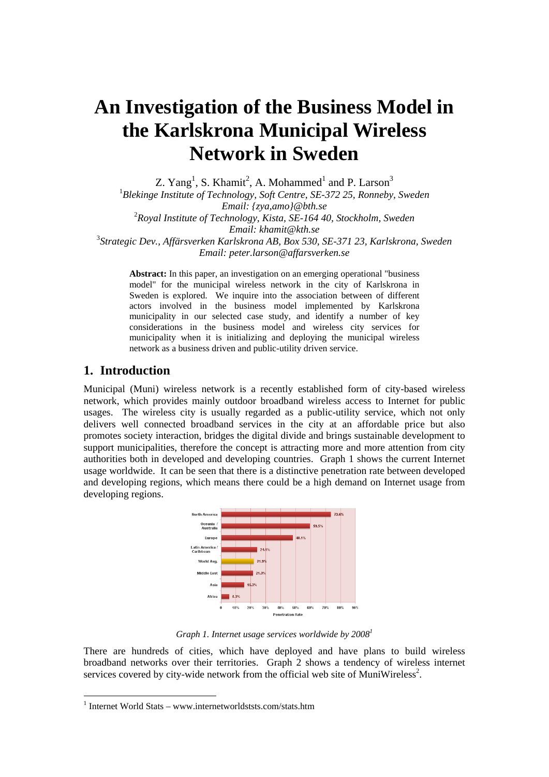# **An Investigation of the Business Model in the Karlskrona Municipal Wireless Network in Sweden**

Z. Yang<sup>1</sup>, S. Khamit<sup>2</sup>, A. Mohammed<sup>1</sup> and P. Larson<sup>3</sup>

<sup>1</sup>Blekinge Institute of Technology, Soft Centre, SE-372 25, Ronneby, Sweden *Email: {zya,amo}@bth.se*  2 *Royal Institute of Technology, Kista, SE-164 40, Stockholm, Sweden Email: khamit@kth.se*  3 *Strategic Dev., Affärsverken Karlskrona AB, Box 530, SE-371 23, Karlskrona, Sweden Email: peter.larson@affarsverken.se* 

**Abstract:** In this paper, an investigation on an emerging operational "business model" for the municipal wireless network in the city of Karlskrona in Sweden is explored. We inquire into the association between of different actors involved in the business model implemented by Karlskrona municipality in our selected case study, and identify a number of key considerations in the business model and wireless city services for municipality when it is initializing and deploying the municipal wireless network as a business driven and public-utility driven service.

#### **1. Introduction**

1

Municipal (Muni) wireless network is a recently established form of city-based wireless network, which provides mainly outdoor broadband wireless access to Internet for public usages. The wireless city is usually regarded as a public-utility service, which not only delivers well connected broadband services in the city at an affordable price but also promotes society interaction, bridges the digital divide and brings sustainable development to support municipalities, therefore the concept is attracting more and more attention from city authorities both in developed and developing countries. Graph 1 shows the current Internet usage worldwide. It can be seen that there is a distinctive penetration rate between developed and developing regions, which means there could be a high demand on Internet usage from developing regions.



*Graph 1. Internet usage services worldwide by 20081*

There are hundreds of cities, which have deployed and have plans to build wireless broadband networks over their territories. Graph 2 shows a tendency of wireless internet services covered by city-wide network from the official web site of MuniWireless<sup>2</sup>.

<sup>&</sup>lt;sup>1</sup> Internet World Stats – www.internetworldststs.com/stats.htm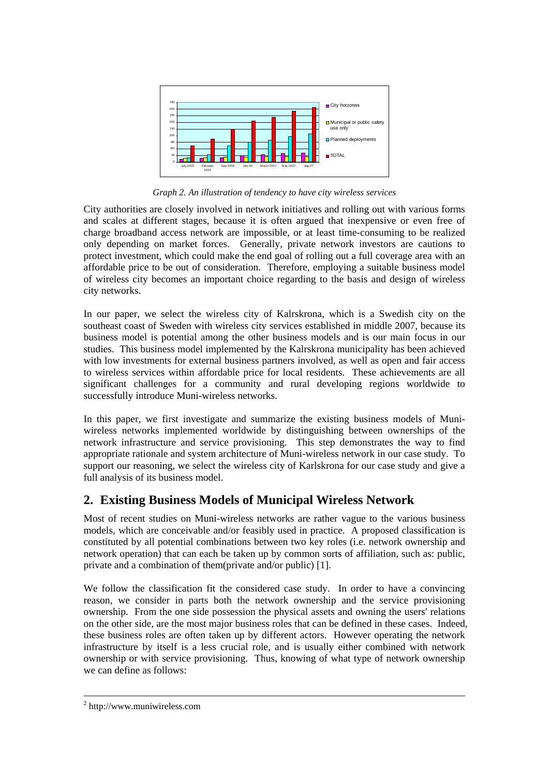

*Graph 2. An illustration of tendency to have city wireless services* 

City authorities are closely involved in network initiatives and rolling out with various forms and scales at different stages, because it is often argued that inexpensive or even free of charge broadband access network are impossible, or at least time-consuming to be realized only depending on market forces. Generally, private network investors are cautions to protect investment, which could make the end goal of rolling out a full coverage area with an affordable price to be out of consideration. Therefore, employing a suitable business model of wireless city becomes an important choice regarding to the basis and design of wireless city networks.

In our paper, we select the wireless city of Kalrskrona, which is a Swedish city on the southeast coast of Sweden with wireless city services established in middle 2007, because its business model is potential among the other business models and is our main focus in our studies. This business model implemented by the Kalrskrona municipality has been achieved with low investments for external business partners involved, as well as open and fair access to wireless services within affordable price for local residents. These achievements are all significant challenges for a community and rural developing regions worldwide to successfully introduce Muni-wireless networks.

In this paper, we first investigate and summarize the existing business models of Muniwireless networks implemented worldwide by distinguishing between ownerships of the network infrastructure and service provisioning. This step demonstrates the way to find appropriate rationale and system architecture of Muni-wireless network in our case study. To support our reasoning, we select the wireless city of Karlskrona for our case study and give a full analysis of its business model.

# **2. Existing Business Models of Municipal Wireless Network**

Most of recent studies on Muni-wireless networks are rather vague to the various business models, which are conceivable and/or feasibly used in practice. A proposed classification is constituted by all potential combinations between two key roles (i.e. network ownership and network operation) that can each be taken up by common sorts of affiliation, such as: public, private and a combination of them(private and/or public) [1].

We follow the classification fit the considered case study. In order to have a convincing reason, we consider in parts both the network ownership and the service provisioning ownership. From the one side possession the physical assets and owning the users' relations on the other side, are the most major business roles that can be defined in these cases. Indeed, these business roles are often taken up by different actors. However operating the network infrastructure by itself is a less crucial role, and is usually either combined with network ownership or with service provisioning. Thus, knowing of what type of network ownership we can define as follows:

 $\frac{1}{2}$ http://www.muniwireless.com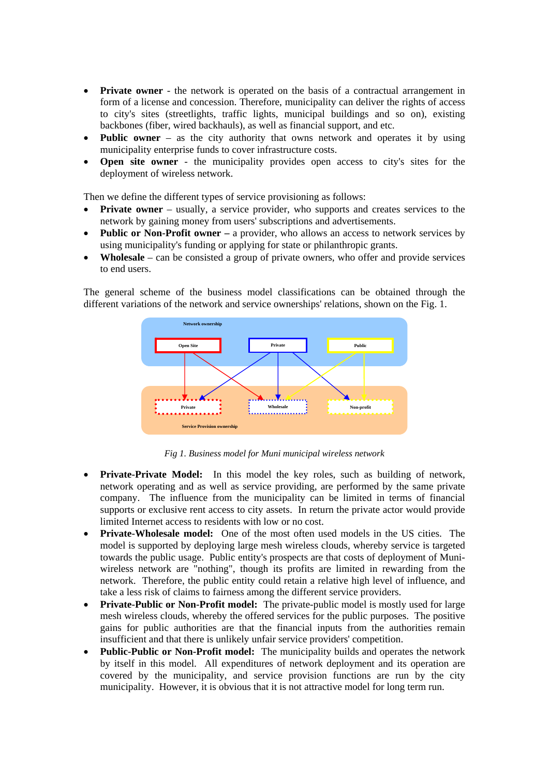- **Private owner** the network is operated on the basis of a contractual arrangement in form of a license and concession. Therefore, municipality can deliver the rights of access to city's sites (streetlights, traffic lights, municipal buildings and so on), existing backbones (fiber, wired backhauls), as well as financial support, and etc.
- **Public owner** as the city authority that owns network and operates it by using municipality enterprise funds to cover infrastructure costs.
- **Open site owner** the municipality provides open access to city's sites for the deployment of wireless network.

Then we define the different types of service provisioning as follows:

- **Private owner** usually, a service provider, who supports and creates services to the network by gaining money from users' subscriptions and advertisements.
- **Public or Non-Profit owner** a provider, who allows an access to network services by using municipality's funding or applying for state or philanthropic grants.
- **Wholesale** can be consisted a group of private owners, who offer and provide services to end users.

The general scheme of the business model classifications can be obtained through the different variations of the network and service ownerships' relations, shown on the Fig. 1.



*Fig 1. Business model for Muni municipal wireless network* 

- **Private-Private Model:** In this model the key roles, such as building of network, network operating and as well as service providing, are performed by the same private company. The influence from the municipality can be limited in terms of financial supports or exclusive rent access to city assets. In return the private actor would provide limited Internet access to residents with low or no cost.
- **Private-Wholesale model:** One of the most often used models in the US cities. The model is supported by deploying large mesh wireless clouds, whereby service is targeted towards the public usage. Public entity's prospects are that costs of deployment of Muniwireless network are "nothing", though its profits are limited in rewarding from the network. Therefore, the public entity could retain a relative high level of influence, and take a less risk of claims to fairness among the different service providers.
- **Private-Public or Non-Profit model:** The private-public model is mostly used for large mesh wireless clouds, whereby the offered services for the public purposes. The positive gains for public authorities are that the financial inputs from the authorities remain insufficient and that there is unlikely unfair service providers' competition.
- **Public-Public or Non-Profit model:** The municipality builds and operates the network by itself in this model. All expenditures of network deployment and its operation are covered by the municipality, and service provision functions are run by the city municipality. However, it is obvious that it is not attractive model for long term run.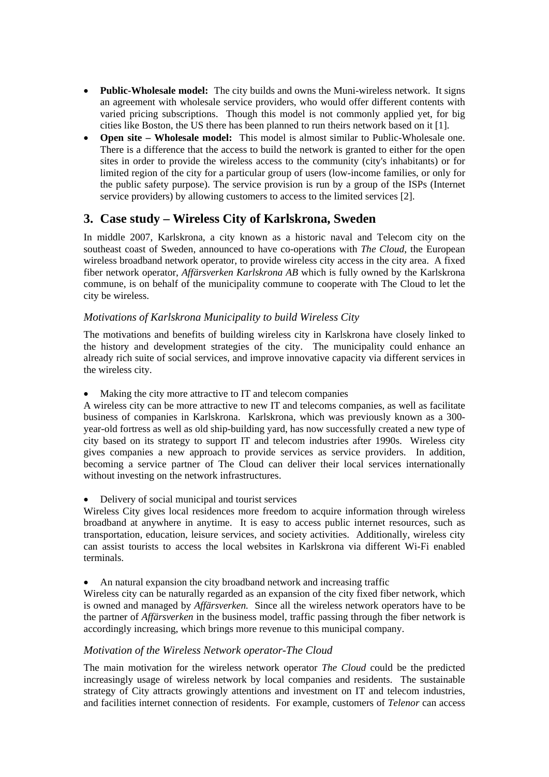- **Public-Wholesale model:** The city builds and owns the Muni-wireless network. It signs an agreement with wholesale service providers, who would offer different contents with varied pricing subscriptions. Though this model is not commonly applied yet, for big cities like Boston, the US there has been planned to run theirs network based on it [1].
- **Open site Wholesale model:** This model is almost similar to Public-Wholesale one. There is a difference that the access to build the network is granted to either for the open sites in order to provide the wireless access to the community (city's inhabitants) or for limited region of the city for a particular group of users (low-income families, or only for the public safety purpose). The service provision is run by a group of the ISPs (Internet service providers) by allowing customers to access to the limited services [2].

## **3. Case study – Wireless City of Karlskrona, Sweden**

In middle 2007, Karlskrona, a city known as a historic naval and Telecom city on the southeast coast of Sweden, announced to have co-operations with *The Cloud*, the European wireless broadband network operator, to provide wireless city access in the city area. A fixed fiber network operator, *Affärsverken Karlskrona AB* which is fully owned by the Karlskrona commune, is on behalf of the municipality commune to cooperate with The Cloud to let the city be wireless.

#### *Motivations of Karlskrona Municipality to build Wireless City*

The motivations and benefits of building wireless city in Karlskrona have closely linked to the history and development strategies of the city. The municipality could enhance an already rich suite of social services, and improve innovative capacity via different services in the wireless city.

• Making the city more attractive to IT and telecom companies

A wireless city can be more attractive to new IT and telecoms companies, as well as facilitate business of companies in Karlskrona. Karlskrona, which was previously known as a 300 year-old fortress as well as old ship-building yard, has now successfully created a new type of city based on its strategy to support IT and telecom industries after 1990s. Wireless city gives companies a new approach to provide services as service providers. In addition, becoming a service partner of The Cloud can deliver their local services internationally without investing on the network infrastructures.

• Delivery of social municipal and tourist services

Wireless City gives local residences more freedom to acquire information through wireless broadband at anywhere in anytime. It is easy to access public internet resources, such as transportation, education, leisure services, and society activities. Additionally, wireless city can assist tourists to access the local websites in Karlskrona via different Wi-Fi enabled terminals.

• An natural expansion the city broadband network and increasing traffic

Wireless city can be naturally regarded as an expansion of the city fixed fiber network, which is owned and managed by *Affärsverken.* Since all the wireless network operators have to be the partner of *Affärsverken* in the business model, traffic passing through the fiber network is accordingly increasing, which brings more revenue to this municipal company.

#### *Motivation of the Wireless Network operator-The Cloud*

The main motivation for the wireless network operator *The Cloud* could be the predicted increasingly usage of wireless network by local companies and residents. The sustainable strategy of City attracts growingly attentions and investment on IT and telecom industries, and facilities internet connection of residents. For example, customers of *Telenor* can access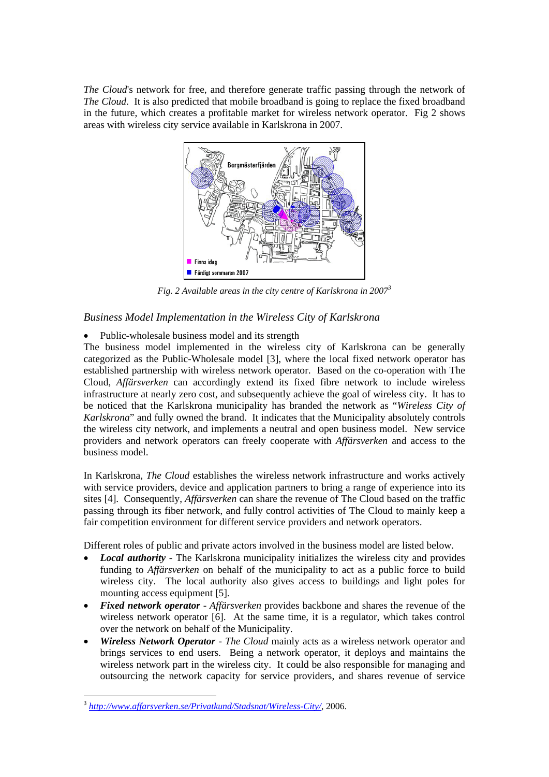*The Cloud*'s network for free, and therefore generate traffic passing through the network of *The Cloud*. It is also predicted that mobile broadband is going to replace the fixed broadband in the future, which creates a profitable market for wireless network operator. Fig 2 shows areas with wireless city service available in Karlskrona in 2007.



*Fig. 2 Available areas in the city centre of Karlskrona in 20073*

#### *Business Model Implementation in the Wireless City of Karlskrona*

• Public-wholesale business model and its strength

The business model implemented in the wireless city of Karlskrona can be generally categorized as the Public-Wholesale model [3], where the local fixed network operator has established partnership with wireless network operator. Based on the co-operation with The Cloud, *Affärsverken* can accordingly extend its fixed fibre network to include wireless infrastructure at nearly zero cost, and subsequently achieve the goal of wireless city. It has to be noticed that the Karlskrona municipality has branded the network as "*Wireless City of Karlskrona*" and fully owned the brand. It indicates that the Municipality absolutely controls the wireless city network, and implements a neutral and open business model. New service providers and network operators can freely cooperate with *Affärsverken* and access to the business model.

In Karlskrona, *The Cloud* establishes the wireless network infrastructure and works actively with service providers, device and application partners to bring a range of experience into its sites [4]. Consequently, *Affärsverken* can share the revenue of The Cloud based on the traffic passing through its fiber network, and fully control activities of The Cloud to mainly keep a fair competition environment for different service providers and network operators.

Different roles of public and private actors involved in the business model are listed below.

- *Local authority* The Karlskrona municipality initializes the wireless city and provides funding to *Affärsverken* on behalf of the municipality to act as a public force to build wireless city. The local authority also gives access to buildings and light poles for mounting access equipment [5].
- *Fixed network operator Affärsverken* provides backbone and shares the revenue of the wireless network operator [6]. At the same time, it is a regulator, which takes control over the network on behalf of the Municipality.
- *Wireless Network Operator The Cloud* mainly acts as a wireless network operator and brings services to end users. Being a network operator, it deploys and maintains the wireless network part in the wireless city. It could be also responsible for managing and outsourcing the network capacity for service providers, and shares revenue of service

<sup>1</sup> <sup>3</sup> *http://www.affarsverken.se/Privatkund/Stadsnat/Wireless-City/*, 2006.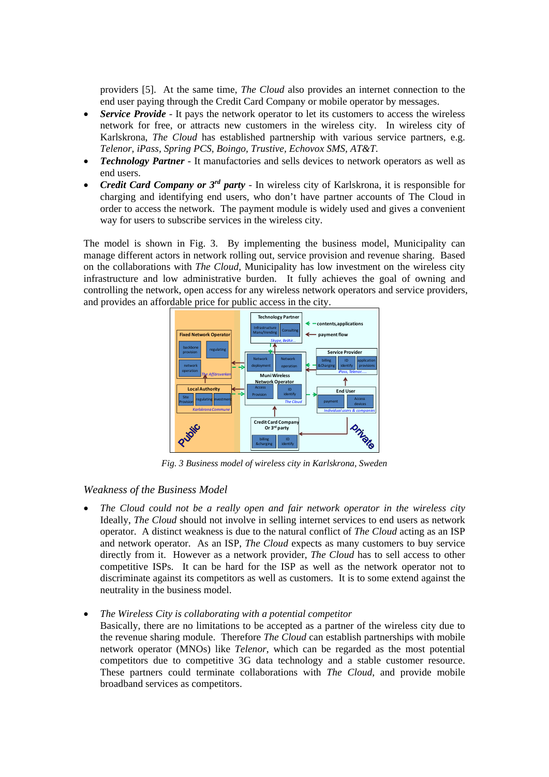providers [5]. At the same time, *The Cloud* also provides an internet connection to the end user paying through the Credit Card Company or mobile operator by messages.

- *Service Provide* It pays the network operator to let its customers to access the wireless network for free, or attracts new customers in the wireless city. In wireless city of Karlskrona, *The Cloud* has established partnership with various service partners, e.g. *Telenor, iPass, Spring PCS, Boingo, Trustive, Echovox SMS, AT&T*.
- *Technology Partner* It manufactories and sells devices to network operators as well as end users.
- *Credit Card Company or 3rd party*  In wireless city of Karlskrona, it is responsible for charging and identifying end users, who don't have partner accounts of The Cloud in order to access the network. The payment module is widely used and gives a convenient way for users to subscribe services in the wireless city.

The model is shown in Fig. 3. By implementing the business model, Municipality can manage different actors in network rolling out, service provision and revenue sharing. Based on the collaborations with *The Cloud*, Municipality has low investment on the wireless city infrastructure and low administrative burden. It fully achieves the goal of owning and controlling the network, open access for any wireless network operators and service providers, and provides an affordable price for public access in the city.



*Fig. 3 Business model of wireless city in Karlskrona, Sweden* 

*Weakness of the Business Model* 

- *The Cloud could not be a really open and fair network operator in the wireless city*  Ideally, *The Cloud* should not involve in selling internet services to end users as network operator. A distinct weakness is due to the natural conflict of *The Cloud* acting as an ISP and network operator. As an ISP, *The Cloud* expects as many customers to buy service directly from it. However as a network provider, *The Cloud* has to sell access to other competitive ISPs. It can be hard for the ISP as well as the network operator not to discriminate against its competitors as well as customers. It is to some extend against the neutrality in the business model.
- *The Wireless City is collaborating with a potential competitor*

Basically, there are no limitations to be accepted as a partner of the wireless city due to the revenue sharing module. Therefore *The Cloud* can establish partnerships with mobile network operator (MNOs) like *Telenor*, which can be regarded as the most potential competitors due to competitive 3G data technology and a stable customer resource. These partners could terminate collaborations with *The Cloud*, and provide mobile broadband services as competitors.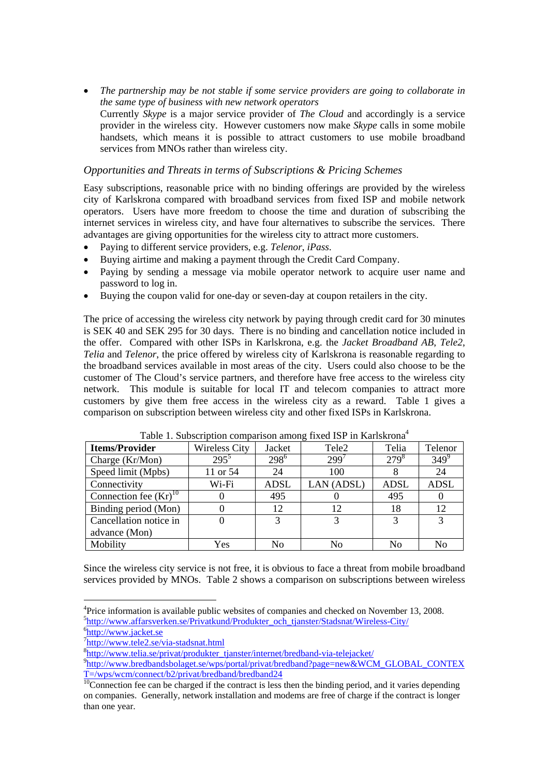• *The partnership may be not stable if some service providers are going to collaborate in the same type of business with new network operators* Currently *Skype* is a major service provider of *The Cloud* and accordingly is a service provider in the wireless city. However customers now make *Skype* calls in some mobile handsets, which means it is possible to attract customers to use mobile broadband services from MNOs rather than wireless city.

#### *Opportunities and Threats in terms of Subscriptions & Pricing Schemes*

Easy subscriptions, reasonable price with no binding offerings are provided by the wireless city of Karlskrona compared with broadband services from fixed ISP and mobile network operators. Users have more freedom to choose the time and duration of subscribing the internet services in wireless city, and have four alternatives to subscribe the services. There advantages are giving opportunities for the wireless city to attract more customers.

- Paying to different service providers, e.g. *Telenor*, *iPass*.
- Buying airtime and making a payment through the Credit Card Company.
- Paying by sending a message via mobile operator network to acquire user name and password to log in.
- Buying the coupon valid for one-day or seven-day at coupon retailers in the city.

The price of accessing the wireless city network by paying through credit card for 30 minutes is SEK 40 and SEK 295 for 30 days. There is no binding and cancellation notice included in the offer. Compared with other ISPs in Karlskrona, e.g. the *Jacket Broadband AB*, *Tele2*, *Telia* and *Telenor*, the price offered by wireless city of Karlskrona is reasonable regarding to the broadband services available in most areas of the city. Users could also choose to be the customer of The Cloud's service partners, and therefore have free access to the wireless city network. This module is suitable for local IT and telecom companies to attract more customers by give them free access in the wireless city as a reward. Table 1 gives a comparison on subscription between wireless city and other fixed ISPs in Karlskrona.

| <b>Items/Provider</b>      | <b>Wireless City</b> | Jacket           | Tele <sub>2</sub> | Telia          | Telenor     |
|----------------------------|----------------------|------------------|-------------------|----------------|-------------|
| Charge (Kr/Mon)            | $295^5$              | 298 <sup>6</sup> | $299^{7}$         | $279^{8}$      | $349^9$     |
| Speed limit (Mpbs)         | 11 or 54             | 24               | 100               |                | 24          |
| Connectivity               | Wi-Fi                | <b>ADSL</b>      | LAN (ADSL)        | ADSL           | <b>ADSL</b> |
| Connection fee $(Kr)^{10}$ |                      | 495              |                   | 495            | $\theta$    |
| Binding period (Mon)       |                      | 12               | 12                | 18             | 12          |
| Cancellation notice in     |                      | 3                |                   | 2              | 3           |
| advance (Mon)              |                      |                  |                   |                |             |
| Mobility                   | Yes                  | No               | No                | N <sub>0</sub> | No          |

Since the wireless city service is not free, it is obvious to face a threat from mobile broadband services provided by MNOs. Table 2 shows a comparison on subscriptions between wireless

<u>.</u>

<sup>&</sup>lt;sup>4</sup>Price information is available public websites of companies and checked on November 13, 2008. <sup>5</sup>http://www.affarsverken.se/Privatkund/Produkter\_och\_tjanster/Stadsnat/Wireless-City/ http://www.jacket.se

 $\frac{\eta_{\text{http://www.tele2.se/via-stadsnat.html}}{\eta_{\text{http://www.telie2.se/via-stadsnat.html}}}$ 

 ${}^{8}$ http://www.telia.se/privat/produkter\_tjanster/internet/bredband-via-telejacket/

<sup>&</sup>lt;sup>9</sup>http://www.bredbandsbolaget.se/wps/portal/privat/bredband?page=new&WCM\_GLOBAL\_CONTEX\_<br>T=/wps/wcm/connect/b2/privat/bredband/bredband24

 $\frac{10}{10}$ Connection fee can be charged if the contract is less then the binding period, and it varies depending on companies. Generally, network installation and modems are free of charge if the contract is longer than one year.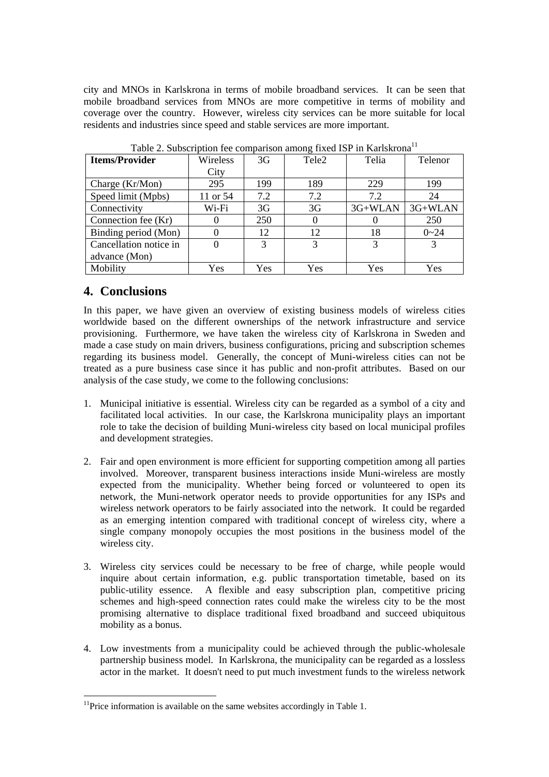city and MNOs in Karlskrona in terms of mobile broadband services. It can be seen that mobile broadband services from MNOs are more competitive in terms of mobility and coverage over the country. However, wireless city services can be more suitable for local residents and industries since speed and stable services are more important.

| <b>Items/Provider</b>  | Wireless | 3G             | Tele <sub>2</sub> | Telia     | Telenor   |
|------------------------|----------|----------------|-------------------|-----------|-----------|
|                        | City     |                |                   |           |           |
| Charge $(Kr/Mon)$      | 295      | 199            | 189               | 229       | 199       |
| Speed limit (Mpbs)     | 11 or 54 | 7.2            | 7.2               | 7.2       | 24        |
| Connectivity           | Wi-Fi    | 3 <sub>G</sub> | 3G                | $3G+WLAN$ | $3G+WLAN$ |
| Connection fee (Kr)    |          | 250            |                   |           | 250       |
| Binding period (Mon)   |          | 12             | 12                | 18        | $0 - 24$  |
| Cancellation notice in |          | 3              | 3                 |           |           |
| advance (Mon)          |          |                |                   |           |           |
| Mobility               | Yes      | Yes            | Yes               | Yes       | Yes       |

Table 2. Subscription fee comparison among fixed ISP in Karlskrona<sup>11</sup>

# **4. Conclusions**

1

In this paper, we have given an overview of existing business models of wireless cities worldwide based on the different ownerships of the network infrastructure and service provisioning. Furthermore, we have taken the wireless city of Karlskrona in Sweden and made a case study on main drivers, business configurations, pricing and subscription schemes regarding its business model. Generally, the concept of Muni-wireless cities can not be treated as a pure business case since it has public and non-profit attributes. Based on our analysis of the case study, we come to the following conclusions:

- 1. Municipal initiative is essential. Wireless city can be regarded as a symbol of a city and facilitated local activities. In our case, the Karlskrona municipality plays an important role to take the decision of building Muni-wireless city based on local municipal profiles and development strategies.
- 2. Fair and open environment is more efficient for supporting competition among all parties involved. Moreover, transparent business interactions inside Muni-wireless are mostly expected from the municipality. Whether being forced or volunteered to open its network, the Muni-network operator needs to provide opportunities for any ISPs and wireless network operators to be fairly associated into the network. It could be regarded as an emerging intention compared with traditional concept of wireless city, where a single company monopoly occupies the most positions in the business model of the wireless city.
- 3. Wireless city services could be necessary to be free of charge, while people would inquire about certain information, e.g. public transportation timetable, based on its public-utility essence. A flexible and easy subscription plan, competitive pricing schemes and high-speed connection rates could make the wireless city to be the most promising alternative to displace traditional fixed broadband and succeed ubiquitous mobility as a bonus.
- 4. Low investments from a municipality could be achieved through the public-wholesale partnership business model. In Karlskrona, the municipality can be regarded as a lossless actor in the market. It doesn't need to put much investment funds to the wireless network

 $11$ Price information is available on the same websites accordingly in Table 1.